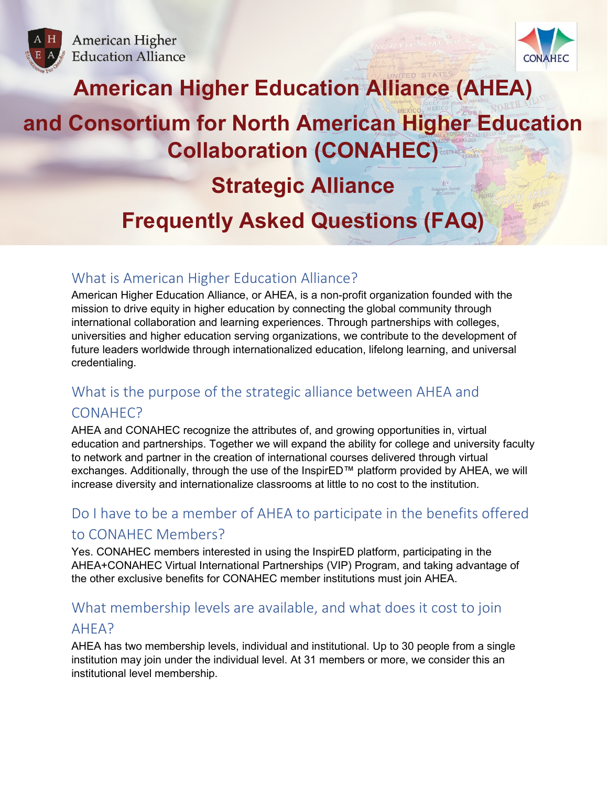



# **American Higher Education Alliance (AHEA)**

# **and Consortium for North American Higher Education Collaboration (CONAHEC)**

# **Strategic Alliance**

# **Frequently Asked Questions (FAQ)**

# What is American Higher Education Alliance?

American Higher Education Alliance, or AHEA, is a non-profit organization founded with the mission to drive equity in higher education by connecting the global community through international collaboration and learning experiences. Through partnerships with colleges, universities and higher education serving organizations, we contribute to the development of future leaders worldwide through internationalized education, lifelong learning, and universal credentialing.

# What is the purpose of the strategic alliance between AHEA and CONAHEC?

AHEA and CONAHEC recognize the attributes of, and growing opportunities in, virtual education and partnerships. Together we will expand the ability for college and university faculty to network and partner in the creation of international courses delivered through virtual exchanges. Additionally, through the use of the InspirED™ platform provided by AHEA, we will increase diversity and internationalize classrooms at little to no cost to the institution.

# Do I have to be a member of AHEA to participate in the benefits offered to CONAHEC Members?

Yes. CONAHEC members interested in using the InspirED platform, participating in the AHEA+CONAHEC Virtual International Partnerships (VIP) Program, and taking advantage of the other exclusive benefits for CONAHEC member institutions must join AHEA.

# What membership levels are available, and what does it cost to join

## AHEA?

AHEA has two membership levels, individual and institutional. Up to 30 people from a single institution may join under the individual level. At 31 members or more, we consider this an institutional level membership.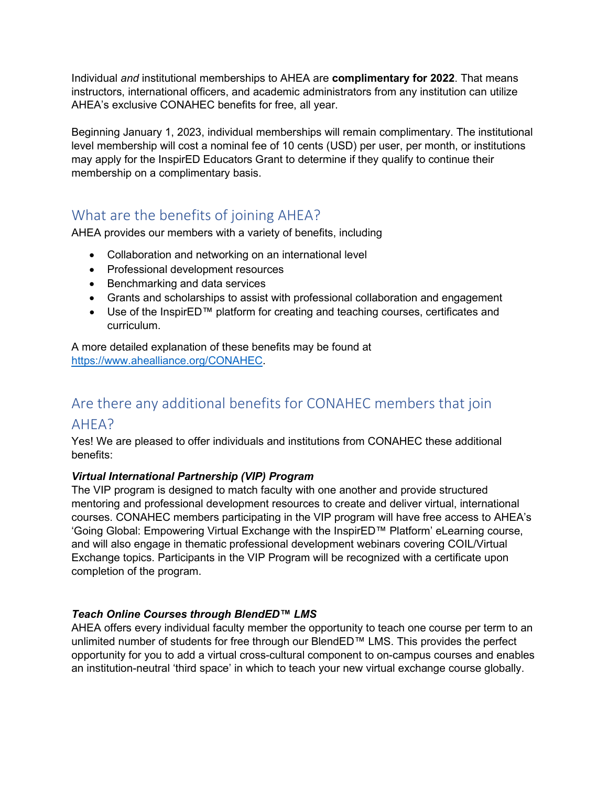Individual *and* institutional memberships to AHEA are **complimentary for 2022**. That means instructors, international officers, and academic administrators from any institution can utilize AHEA's exclusive CONAHEC benefits for free, all year.

Beginning January 1, 2023, individual memberships will remain complimentary. The institutional level membership will cost a nominal fee of 10 cents (USD) per user, per month, or institutions may apply for the InspirED Educators Grant to determine if they qualify to continue their membership on a complimentary basis.

# What are the benefits of joining AHEA?

AHEA provides our members with a variety of benefits, including

- Collaboration and networking on an international level
- Professional development resources
- Benchmarking and data services
- Grants and scholarships to assist with professional collaboration and engagement
- Use of the InspirED™ platform for creating and teaching courses, certificates and curriculum.

A more detailed explanation of these benefits may be found at [https://www.ahealliance.org/CONAHEC.](https://www.ahealliance.org/CONAHEC)

# Are there any additional benefits for CONAHEC members that join

## AHEA?

Yes! We are pleased to offer individuals and institutions from CONAHEC these additional benefits:

### *Virtual International Partnership (VIP) Program*

The VIP program is designed to match faculty with one another and provide structured mentoring and professional development resources to create and deliver virtual, international courses. CONAHEC members participating in the VIP program will have free access to AHEA's 'Going Global: Empowering Virtual Exchange with the InspirED™ Platform' eLearning course, and will also engage in thematic professional development webinars covering COIL/Virtual Exchange topics. Participants in the VIP Program will be recognized with a certificate upon completion of the program.

### *Teach Online Courses through BlendED™ LMS*

AHEA offers every individual faculty member the opportunity to teach one course per term to an unlimited number of students for free through our BlendED™ LMS. This provides the perfect opportunity for you to add a virtual cross-cultural component to on-campus courses and enables an institution-neutral 'third space' in which to teach your new virtual exchange course globally.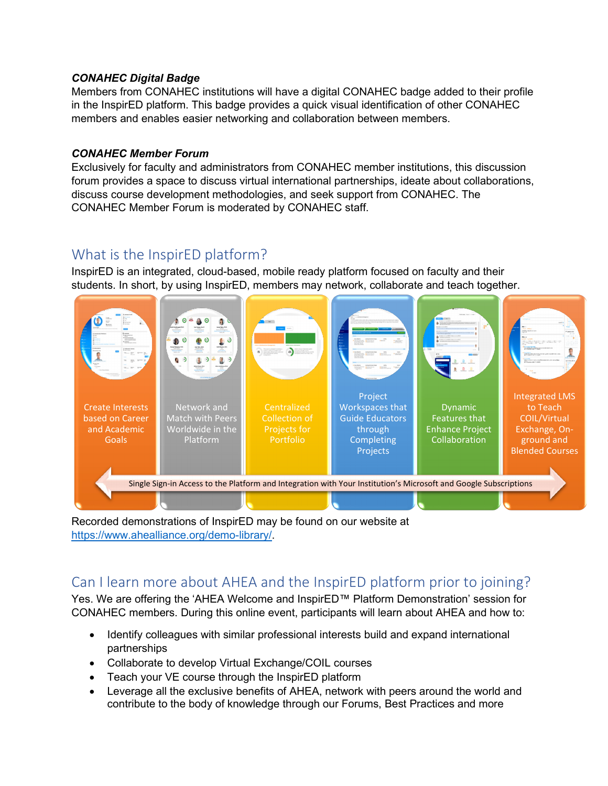### *CONAHEC Digital Badge*

Members from CONAHEC institutions will have a digital CONAHEC badge added to their profile in the InspirED platform. This badge provides a quick visual identification of other CONAHEC members and enables easier networking and collaboration between members.

### *CONAHEC Member Forum*

Exclusively for faculty and administrators from CONAHEC member institutions, this discussion forum provides a space to discuss virtual international partnerships, ideate about collaborations, discuss course development methodologies, and seek support from CONAHEC. The CONAHEC Member Forum is moderated by CONAHEC staff.

# What is the InspirED platform?

InspirED is an integrated, cloud-based, mobile ready platform focused on faculty and their students. In short, by using InspirED, members may network, collaborate and teach together.



Recorded demonstrations of InspirED may be found on our website at [https://www.ahealliance.org/demo-library/.](https://www.ahealliance.org/demo-library/)

# Can I learn more about AHEA and the InspirED platform prior to joining?

Yes. We are offering the 'AHEA Welcome and InspirED™ Platform Demonstration' session for CONAHEC members. During this online event, participants will learn about AHEA and how to:

- Identify colleagues with similar professional interests build and expand international partnerships
- Collaborate to develop Virtual Exchange/COIL courses
- Teach your VE course through the InspirED platform
- Leverage all the exclusive benefits of AHEA, network with peers around the world and contribute to the body of knowledge through our Forums, Best Practices and more